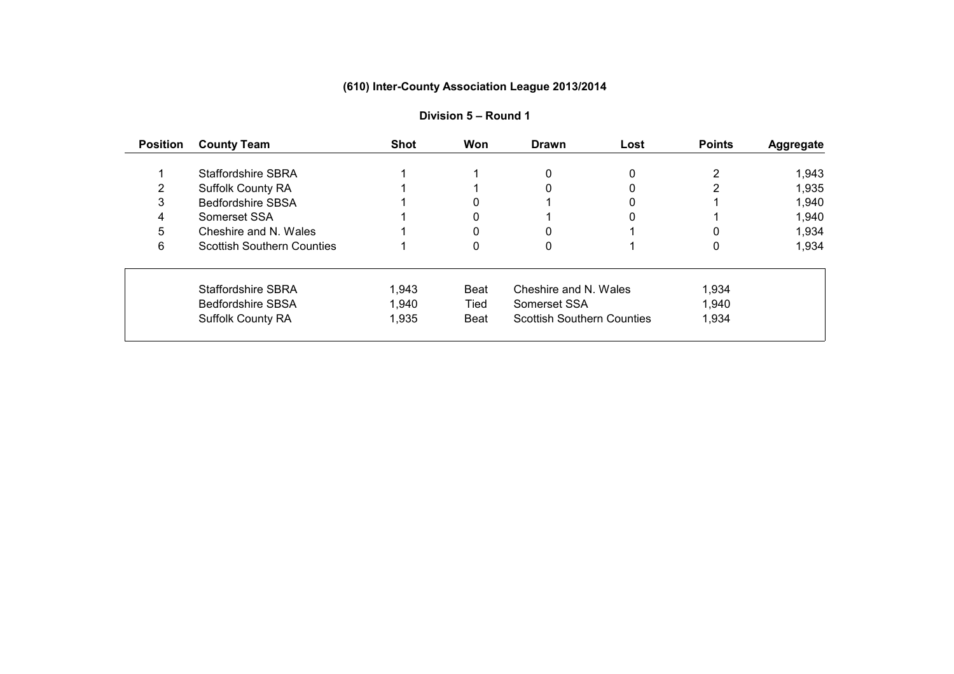| <b>Position</b> | <b>County Team</b>                | <b>Shot</b> | Won  | <b>Drawn</b>                      | Lost | <b>Points</b> | <b>Aggregate</b> |
|-----------------|-----------------------------------|-------------|------|-----------------------------------|------|---------------|------------------|
|                 |                                   |             |      |                                   |      |               |                  |
|                 | <b>Staffordshire SBRA</b>         |             |      | 0                                 | 0    |               | 1,943            |
|                 | <b>Suffolk County RA</b>          |             |      |                                   |      |               | 1,935            |
|                 | <b>Bedfordshire SBSA</b>          |             |      |                                   |      |               | 1,940            |
|                 | Somerset SSA                      |             | 0    |                                   | 0    |               | 1,940            |
| 5               | Cheshire and N. Wales             |             |      |                                   |      |               | 1,934            |
| 6               | <b>Scottish Southern Counties</b> |             |      |                                   |      | 0             | 1,934            |
|                 | <b>Staffordshire SBRA</b>         | 1,943       | Beat | Cheshire and N. Wales             |      | 1,934         |                  |
|                 | <b>Bedfordshire SBSA</b>          | 1,940       | Tied | Somerset SSA                      |      | 1,940         |                  |
|                 | <b>Suffolk County RA</b>          | 1,935       | Beat | <b>Scottish Southern Counties</b> |      | 1,934         |                  |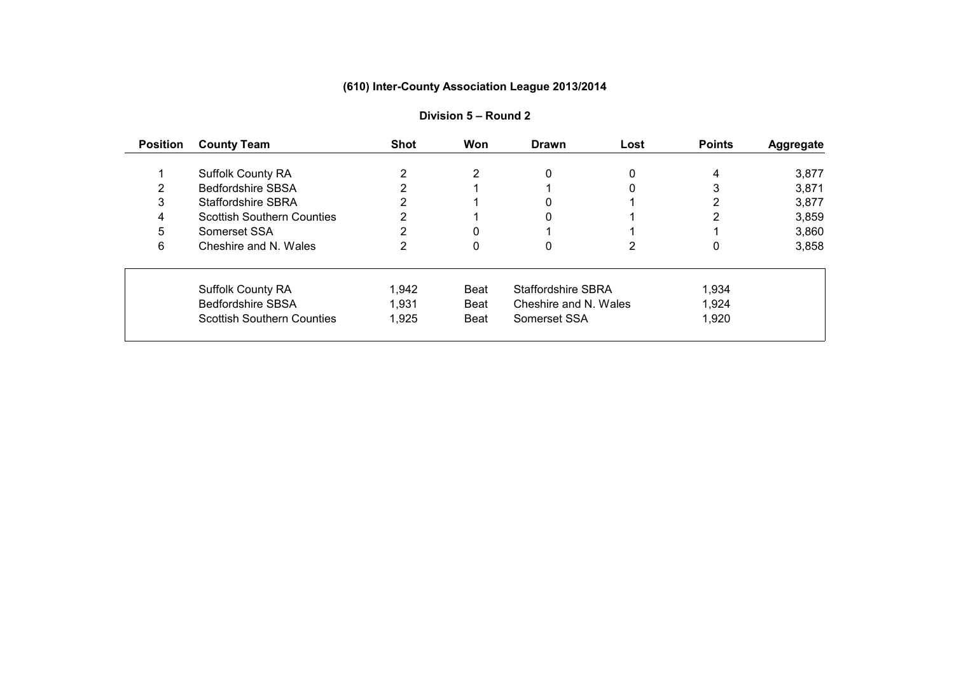| <b>County Team</b>                | <b>Shot</b>                                                                      | Won         | <b>Drawn</b> | Lost | <b>Points</b>                                           | <b>Aggregate</b> |
|-----------------------------------|----------------------------------------------------------------------------------|-------------|--------------|------|---------------------------------------------------------|------------------|
|                                   |                                                                                  |             |              |      |                                                         |                  |
|                                   |                                                                                  |             |              |      |                                                         | 3,877            |
|                                   |                                                                                  |             |              |      |                                                         | 3,871            |
| <b>Staffordshire SBRA</b>         |                                                                                  |             |              |      |                                                         | 3,877            |
| <b>Scottish Southern Counties</b> |                                                                                  |             | 0            |      |                                                         | 3,859            |
| Somerset SSA                      |                                                                                  |             |              |      |                                                         | 3,860            |
| Cheshire and N. Wales             |                                                                                  | 0           | 0            |      | 0                                                       | 3,858            |
|                                   | 1,942                                                                            | Beat        |              |      | 1,934                                                   |                  |
| <b>Bedfordshire SBSA</b>          | 1,931                                                                            | <b>Beat</b> |              |      | 1,924                                                   |                  |
| <b>Scottish Southern Counties</b> | 1,925                                                                            | Beat        | Somerset SSA |      | 1,920                                                   |                  |
|                                   | <b>Suffolk County RA</b><br><b>Bedfordshire SBSA</b><br><b>Suffolk County RA</b> |             | 2            | 0    | 0<br><b>Staffordshire SBRA</b><br>Cheshire and N. Wales | 4                |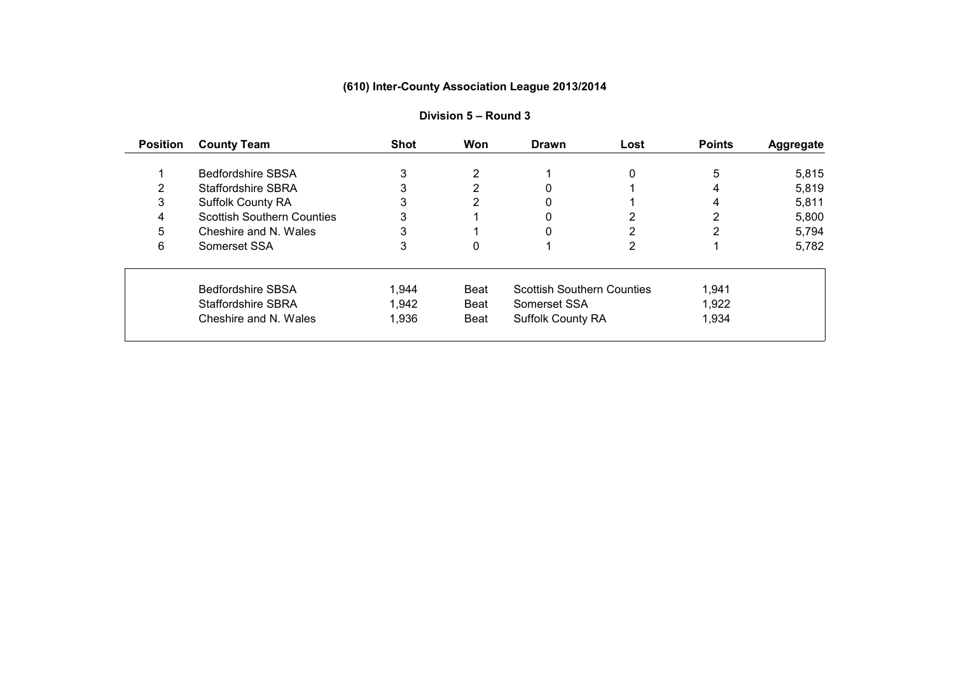| <b>Position</b> | <b>County Team</b>                | <b>Shot</b> | Won         | <b>Drawn</b>                      | Lost | <b>Points</b> | <b>Aggregate</b> |
|-----------------|-----------------------------------|-------------|-------------|-----------------------------------|------|---------------|------------------|
|                 |                                   |             |             |                                   |      |               |                  |
|                 | <b>Bedfordshire SBSA</b>          | 3           | 2           |                                   | 0    | 5             | 5,815            |
|                 | Staffordshire SBRA                |             | ົ           |                                   |      | 4             | 5,819            |
| 3               | <b>Suffolk County RA</b>          |             |             |                                   |      | 4             | 5,811            |
| 4               | <b>Scottish Southern Counties</b> |             |             |                                   |      |               | 5,800            |
| 5               | Cheshire and N. Wales             |             |             |                                   |      |               | 5,794            |
| 6               | Somerset SSA                      |             |             |                                   |      |               | 5,782            |
|                 | <b>Bedfordshire SBSA</b>          | 1,944       | Beat        | <b>Scottish Southern Counties</b> |      | 1,941         |                  |
|                 | <b>Staffordshire SBRA</b>         | 1,942       | Beat        | Somerset SSA                      |      | 1,922         |                  |
|                 | Cheshire and N. Wales             | 1,936       | <b>Beat</b> | <b>Suffolk County RA</b>          |      | 1,934         |                  |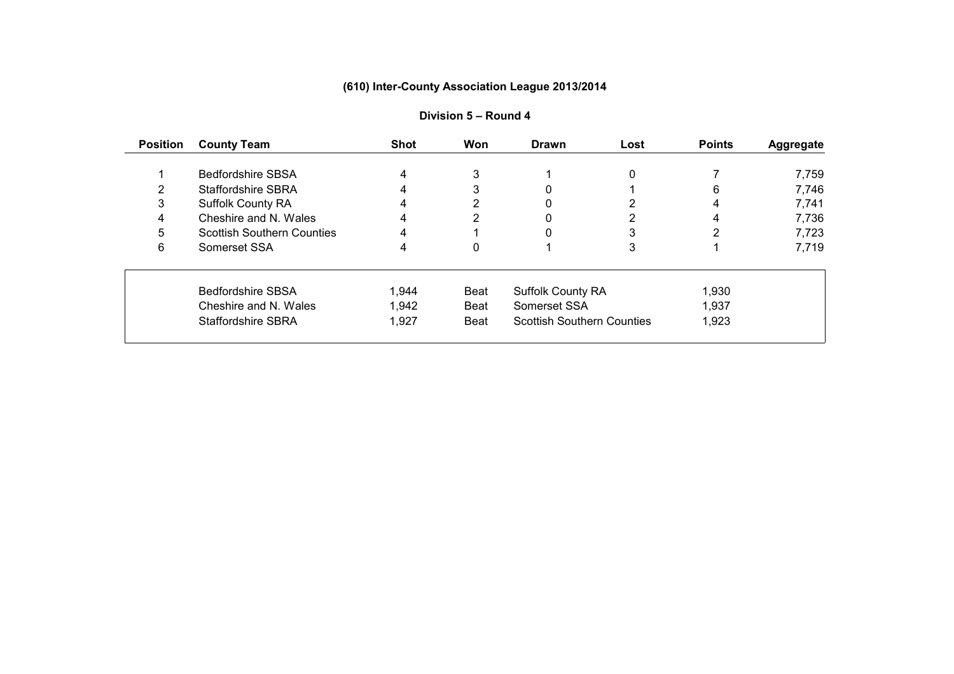| <b>Position</b> | <b>County Team</b>                | <b>Shot</b> | Won         | <b>Drawn</b>                      | Lost         | <b>Points</b> | <b>Aggregate</b> |
|-----------------|-----------------------------------|-------------|-------------|-----------------------------------|--------------|---------------|------------------|
|                 |                                   |             |             |                                   |              |               |                  |
|                 | <b>Bedfordshire SBSA</b>          | 4           | 3           |                                   | $\mathbf{0}$ |               | 7,759            |
|                 | <b>Staffordshire SBRA</b>         |             |             |                                   |              | 6             | 7,746            |
| 3               | <b>Suffolk County RA</b>          |             |             |                                   |              | 4             | 7,741            |
| 4               | Cheshire and N. Wales             | 4           |             | 0                                 |              |               | 7,736            |
| 5               | <b>Scottish Southern Counties</b> | 4           |             |                                   |              |               | 7,723            |
| 6               | Somerset SSA                      | 4           | 0           |                                   | 3            |               | 7,719            |
|                 | <b>Bedfordshire SBSA</b>          | 1,944       | <b>Beat</b> | <b>Suffolk County RA</b>          |              | 1,930         |                  |
|                 | Cheshire and N. Wales             | 1,942       | Beat        | Somerset SSA                      |              | 1,937         |                  |
|                 | <b>Staffordshire SBRA</b>         | 1,927       | <b>Beat</b> | <b>Scottish Southern Counties</b> |              | 1,923         |                  |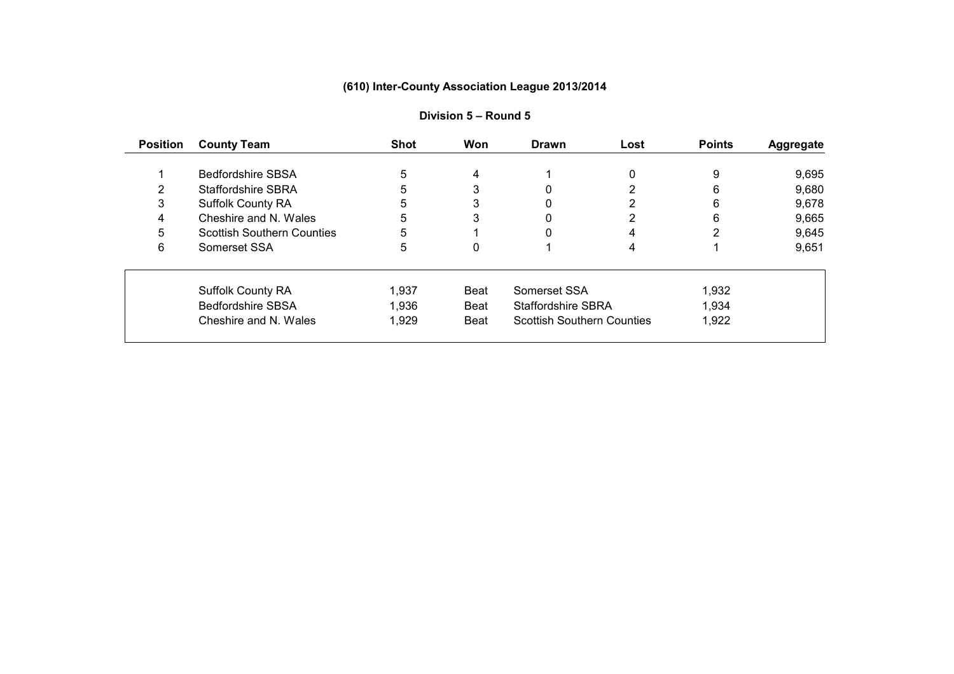| <b>Position</b> | <b>County Team</b>                | <b>Shot</b> | <b>Won</b> | <b>Drawn</b>                      | Lost | <b>Points</b> | <b>Aggregate</b> |
|-----------------|-----------------------------------|-------------|------------|-----------------------------------|------|---------------|------------------|
|                 |                                   |             |            |                                   |      |               |                  |
|                 | <b>Bedfordshire SBSA</b>          | 5           | 4          |                                   | 0    | 9             | 9,695            |
|                 | <b>Staffordshire SBRA</b>         | 5           | 3          |                                   |      | 6             | 9,680            |
|                 | <b>Suffolk County RA</b>          | 5           | 3          |                                   |      | 6             | 9,678            |
|                 | Cheshire and N. Wales             | 5           | 3          |                                   |      | 6             | 9,665            |
| 5               | <b>Scottish Southern Counties</b> | 5           |            |                                   |      |               | 9,645            |
| 6               | Somerset SSA                      | 5           | 0          |                                   |      |               | 9,651            |
|                 | <b>Suffolk County RA</b>          | 1,937       | Beat       | Somerset SSA                      |      | 1,932         |                  |
|                 | <b>Bedfordshire SBSA</b>          | 1,936       | Beat       | <b>Staffordshire SBRA</b>         |      | 1,934         |                  |
|                 | Cheshire and N. Wales             | 1,929       | Beat       | <b>Scottish Southern Counties</b> |      | 1,922         |                  |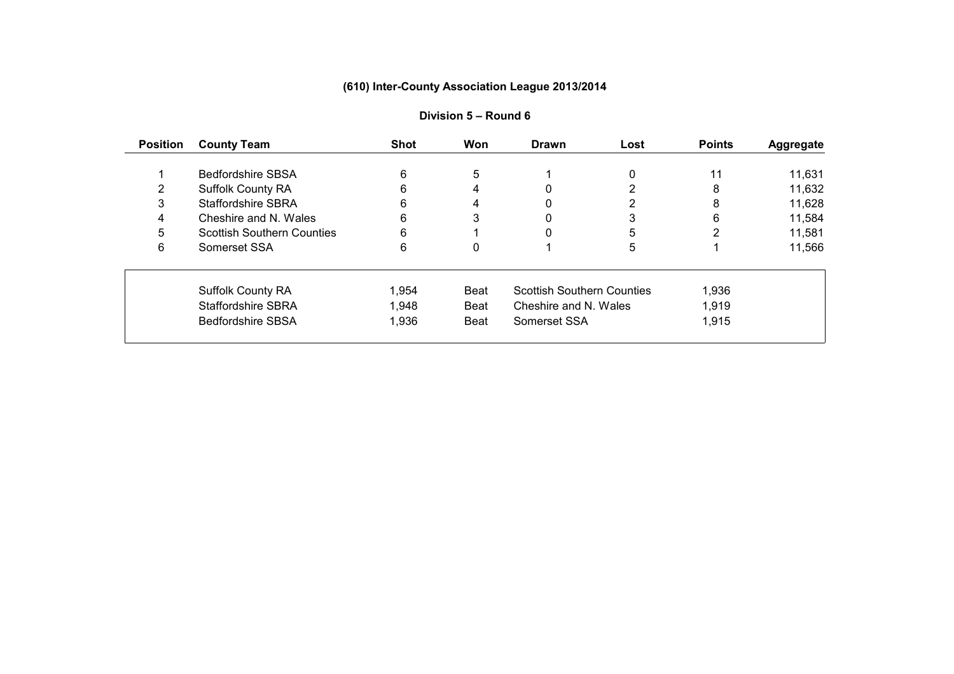| <b>Position</b> | <b>County Team</b>                | <b>Shot</b> | Won         | <b>Drawn</b>                      | Lost | <b>Points</b> | <b>Aggregate</b> |
|-----------------|-----------------------------------|-------------|-------------|-----------------------------------|------|---------------|------------------|
|                 |                                   |             |             |                                   |      |               |                  |
|                 | <b>Bedfordshire SBSA</b>          | 6           | 5           |                                   | 0    | 11            | 11,631           |
|                 | <b>Suffolk County RA</b>          |             | 4           |                                   |      | 8             | 11,632           |
| 3               | <b>Staffordshire SBRA</b>         | 6           |             |                                   |      | 8             | 11,628           |
| 4               | Cheshire and N. Wales             | 6           | 3           |                                   | 3    | 6             | 11,584           |
| 5               | <b>Scottish Southern Counties</b> | 6           |             |                                   | 5    | 2             | 11,581           |
| 6               | Somerset SSA                      | 6           | 0           |                                   | 5.   |               | 11,566           |
|                 | <b>Suffolk County RA</b>          | 1,954       | Beat        | <b>Scottish Southern Counties</b> |      | 1,936         |                  |
|                 | <b>Staffordshire SBRA</b>         | 1,948       | Beat        | Cheshire and N. Wales             |      | 1,919         |                  |
|                 | <b>Bedfordshire SBSA</b>          | 1,936       | <b>Beat</b> | Somerset SSA                      |      | 1,915         |                  |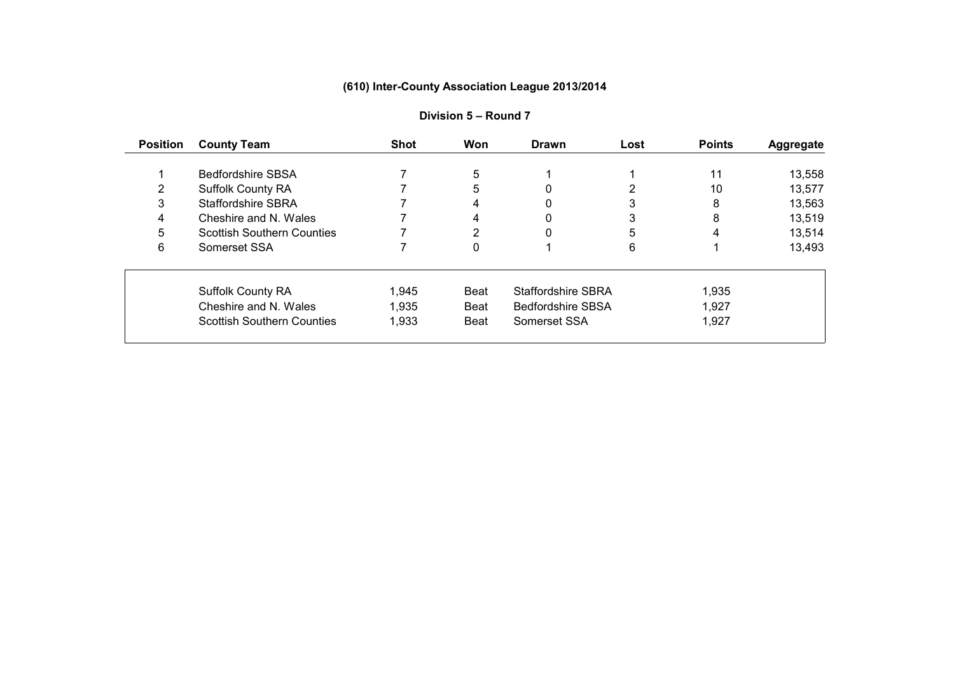| <b>Position</b> | <b>County Team</b>                | <b>Shot</b> | Won         | <b>Drawn</b>              | Lost | <b>Points</b> | <b>Aggregate</b> |
|-----------------|-----------------------------------|-------------|-------------|---------------------------|------|---------------|------------------|
|                 |                                   |             |             |                           |      |               |                  |
|                 | <b>Bedfordshire SBSA</b>          |             | 5           |                           |      | 11            | 13,558           |
|                 | <b>Suffolk County RA</b>          |             | 5           |                           |      | 10            | 13,577           |
| 3               | <b>Staffordshire SBRA</b>         |             | 4           |                           |      | 8             | 13,563           |
| 4               | Cheshire and N. Wales             |             | 4           |                           | 3    | 8             | 13,519           |
| 5               | <b>Scottish Southern Counties</b> |             | ◠           |                           | 5    | 4             | 13,514           |
| 6               | Somerset SSA                      |             | 0           |                           | 6    |               | 13,493           |
|                 | <b>Suffolk County RA</b>          | 1.945       | Beat        | <b>Staffordshire SBRA</b> |      | 1,935         |                  |
|                 | Cheshire and N. Wales             | 1,935       | Beat        | <b>Bedfordshire SBSA</b>  |      | 1,927         |                  |
|                 | <b>Scottish Southern Counties</b> | 1,933       | <b>Beat</b> | Somerset SSA              |      | 1,927         |                  |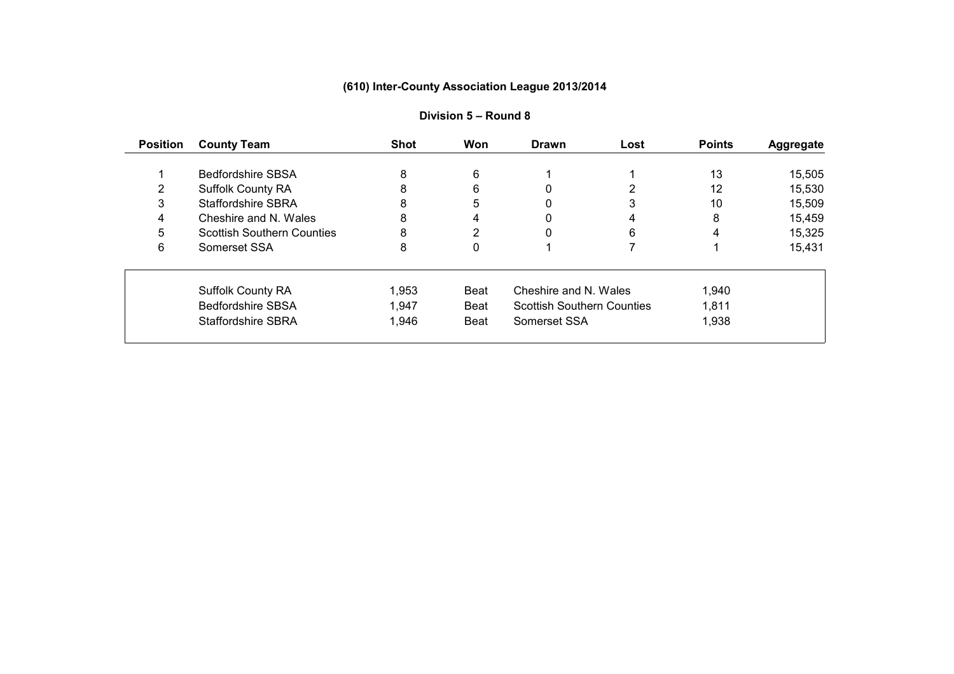| <b>Position</b> | <b>County Team</b>                | <b>Shot</b> | Won         | <b>Drawn</b>                      | Lost | <b>Points</b> | <b>Aggregate</b> |
|-----------------|-----------------------------------|-------------|-------------|-----------------------------------|------|---------------|------------------|
|                 |                                   |             |             |                                   |      |               |                  |
|                 | <b>Bedfordshire SBSA</b>          | 8           | 6           |                                   |      | 13            | 15,505           |
|                 | <b>Suffolk County RA</b>          |             | 6           |                                   |      | 12            | 15,530           |
| 3               | <b>Staffordshire SBRA</b>         | 8           | 5           |                                   | 3    | 10            | 15,509           |
| 4               | Cheshire and N. Wales             | 8           | 4           | 0                                 | 4    | 8             | 15,459           |
| 5               | <b>Scottish Southern Counties</b> | 8           | ◠           |                                   | 6    | 4             | 15,325           |
| 6               | Somerset SSA                      | 8           | 0           |                                   |      |               | 15,431           |
|                 | <b>Suffolk County RA</b>          | 1,953       | Beat        | Cheshire and N. Wales             |      | 1,940         |                  |
|                 | <b>Bedfordshire SBSA</b>          | 1,947       | Beat        | <b>Scottish Southern Counties</b> |      | 1,811         |                  |
|                 | <b>Staffordshire SBRA</b>         | 1,946       | <b>Beat</b> | Somerset SSA                      |      | 1,938         |                  |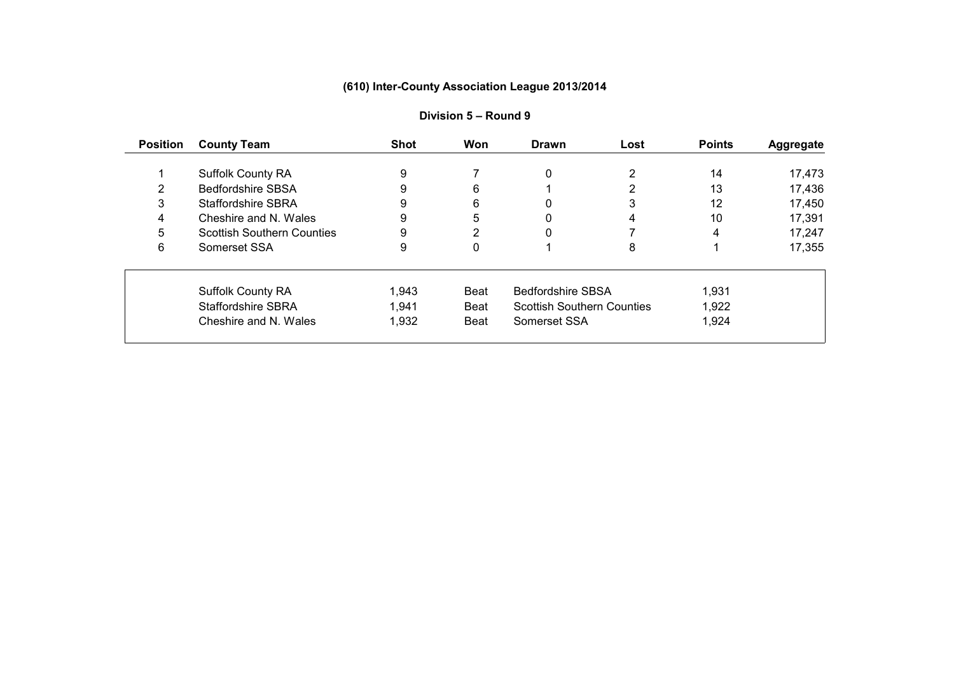| <b>Position</b> | <b>County Team</b>                | <b>Shot</b> | Won  | <b>Drawn</b>                      | Lost | <b>Points</b> | <b>Aggregate</b> |
|-----------------|-----------------------------------|-------------|------|-----------------------------------|------|---------------|------------------|
|                 |                                   | 9           |      |                                   |      | 14            |                  |
|                 | <b>Suffolk County RA</b>          |             |      | 0                                 |      |               | 17,473           |
|                 | <b>Bedfordshire SBSA</b>          | 9           | 6    |                                   |      | 13            | 17,436           |
| 3               | <b>Staffordshire SBRA</b>         | 9           | 6    |                                   | 3    | 12            | 17,450           |
| 4               | Cheshire and N. Wales             | 9           | 5    | 0                                 | 4    | 10            | 17,391           |
| 5               | <b>Scottish Southern Counties</b> | 9           | 2    |                                   |      | 4             | 17,247           |
| 6               | Somerset SSA                      | 9           | 0    |                                   | 8    |               | 17,355           |
|                 | <b>Suffolk County RA</b>          | 1,943       | Beat | <b>Bedfordshire SBSA</b>          |      | 1,931         |                  |
|                 | Staffordshire SBRA                | 1,941       | Beat | <b>Scottish Southern Counties</b> |      | 1,922         |                  |
|                 | Cheshire and N. Wales             | 1,932       | Beat | Somerset SSA                      |      | 1,924         |                  |